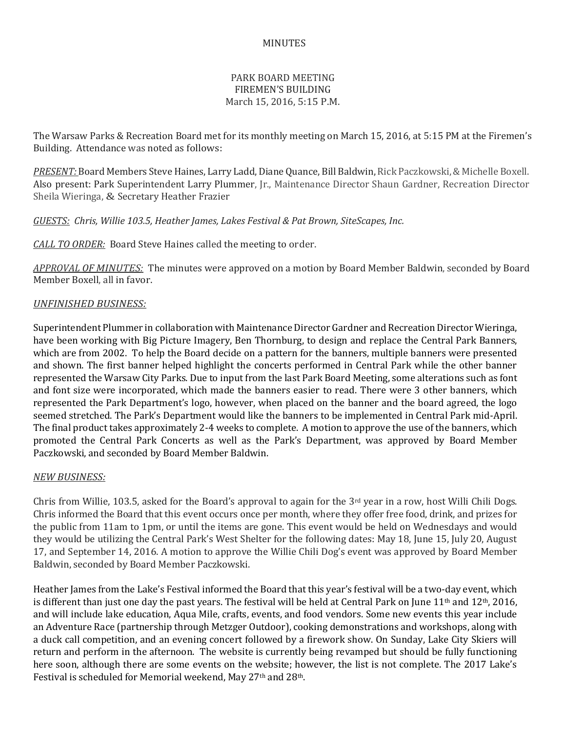## MINUTES

# PARK BOARD MEETING FIREMEN'S BUILDING March 15, 2016, 5:15 P.M.

The Warsaw Parks & Recreation Board met for its monthly meeting on March 15, 2016, at 5:15 PM at the Firemen's Building. Attendance was noted as follows:

*PRESENT:* Board Members Steve Haines, Larry Ladd, Diane Quance, Bill Baldwin, Rick Paczkowski, & Michelle Boxell. Also present: Park Superintendent Larry Plummer, Jr., Maintenance Director Shaun Gardner, Recreation Director Sheila Wieringa, & Secretary Heather Frazier

*GUESTS: Chris, Willie 103.5, Heather James, Lakes Festival & Pat Brown, SiteScapes, Inc.*

*CALL TO ORDER:* Board Steve Haines called the meeting to order.

*APPROVAL OF MINUTES:* The minutes were approved on a motion by Board Member Baldwin, seconded by Board Member Boxell, all in favor.

### *UNFINISHED BUSINESS:*

Superintendent Plummer in collaboration with Maintenance Director Gardner and Recreation Director Wieringa, have been working with Big Picture Imagery, Ben Thornburg, to design and replace the Central Park Banners, which are from 2002. To help the Board decide on a pattern for the banners, multiple banners were presented and shown. The first banner helped highlight the concerts performed in Central Park while the other banner represented the Warsaw City Parks. Due to input from the last Park Board Meeting, some alterations such as font and font size were incorporated, which made the banners easier to read. There were 3 other banners, which represented the Park Department's logo, however, when placed on the banner and the board agreed, the logo seemed stretched. The Park's Department would like the banners to be implemented in Central Park mid-April. The final product takes approximately 2-4 weeks to complete. A motion to approve the use of the banners, which promoted the Central Park Concerts as well as the Park's Department, was approved by Board Member Paczkowski, and seconded by Board Member Baldwin.

### *NEW BUSINESS:*

Chris from Willie, 103.5, asked for the Board's approval to again for the  $3<sup>rd</sup>$  year in a row, host Willi Chili Dogs. Chris informed the Board that this event occurs once per month, where they offer free food, drink, and prizes for the public from 11am to 1pm, or until the items are gone. This event would be held on Wednesdays and would they would be utilizing the Central Park's West Shelter for the following dates: May 18, June 15, July 20, August 17, and September 14, 2016. A motion to approve the Willie Chili Dog's event was approved by Board Member Baldwin, seconded by Board Member Paczkowski.

Heather James from the Lake's Festival informed the Board that this year's festival will be a two-day event, which is different than just one day the past years. The festival will be held at Central Park on June  $11<sup>th</sup>$  and  $12<sup>th</sup>$ , 2016, and will include lake education, Aqua Mile, crafts, events, and food vendors. Some new events this year include an Adventure Race (partnership through Metzger Outdoor), cooking demonstrations and workshops, along with a duck call competition, and an evening concert followed by a firework show. On Sunday, Lake City Skiers will return and perform in the afternoon. The website is currently being revamped but should be fully functioning here soon, although there are some events on the website; however, the list is not complete. The 2017 Lake's Festival is scheduled for Memorial weekend, May 27th and 28th.